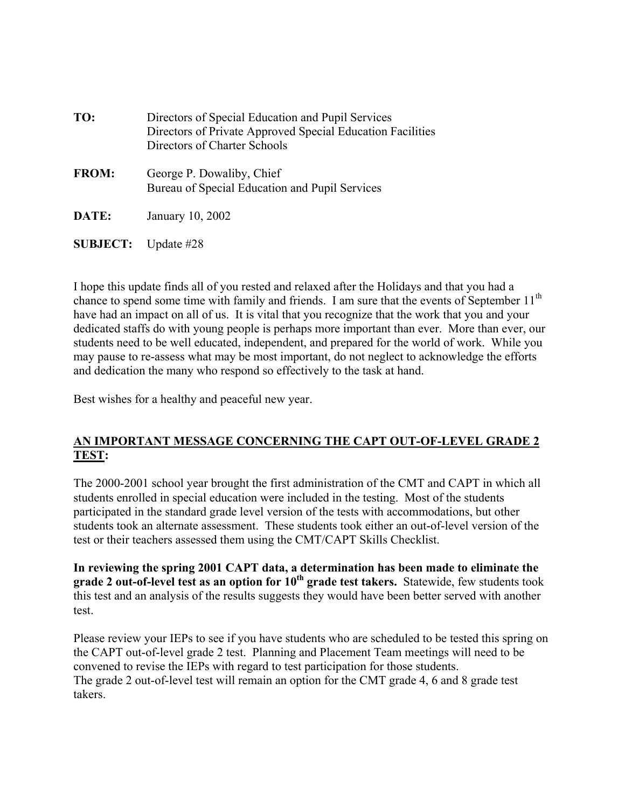| TO:                           | Directors of Special Education and Pupil Services<br>Directors of Private Approved Special Education Facilities<br>Directors of Charter Schools |
|-------------------------------|-------------------------------------------------------------------------------------------------------------------------------------------------|
| <b>FROM:</b>                  | George P. Dowaliby, Chief<br>Bureau of Special Education and Pupil Services                                                                     |
| DATE:                         | January 10, 2002                                                                                                                                |
| <b>SUBJECT:</b> Update $\#28$ |                                                                                                                                                 |

I hope this update finds all of you rested and relaxed after the Holidays and that you had a chance to spend some time with family and friends. I am sure that the events of September  $11<sup>th</sup>$ have had an impact on all of us. It is vital that you recognize that the work that you and your dedicated staffs do with young people is perhaps more important than ever. More than ever, our students need to be well educated, independent, and prepared for the world of work. While you may pause to re-assess what may be most important, do not neglect to acknowledge the efforts and dedication the many who respond so effectively to the task at hand.

Best wishes for a healthy and peaceful new year.

## **AN IMPORTANT MESSAGE CONCERNING THE CAPT OUT-OF-LEVEL GRADE 2 TEST:**

The 2000-2001 school year brought the first administration of the CMT and CAPT in which all students enrolled in special education were included in the testing. Most of the students participated in the standard grade level version of the tests with accommodations, but other students took an alternate assessment. These students took either an out-of-level version of the test or their teachers assessed them using the CMT/CAPT Skills Checklist.

**In reviewing the spring 2001 CAPT data, a determination has been made to eliminate the**  grade 2 out-of-level test as an option for 10<sup>th</sup> grade test takers. Statewide, few students took this test and an analysis of the results suggests they would have been better served with another test.

Please review your IEPs to see if you have students who are scheduled to be tested this spring on the CAPT out-of-level grade 2 test. Planning and Placement Team meetings will need to be convened to revise the IEPs with regard to test participation for those students. The grade 2 out-of-level test will remain an option for the CMT grade 4, 6 and 8 grade test takers.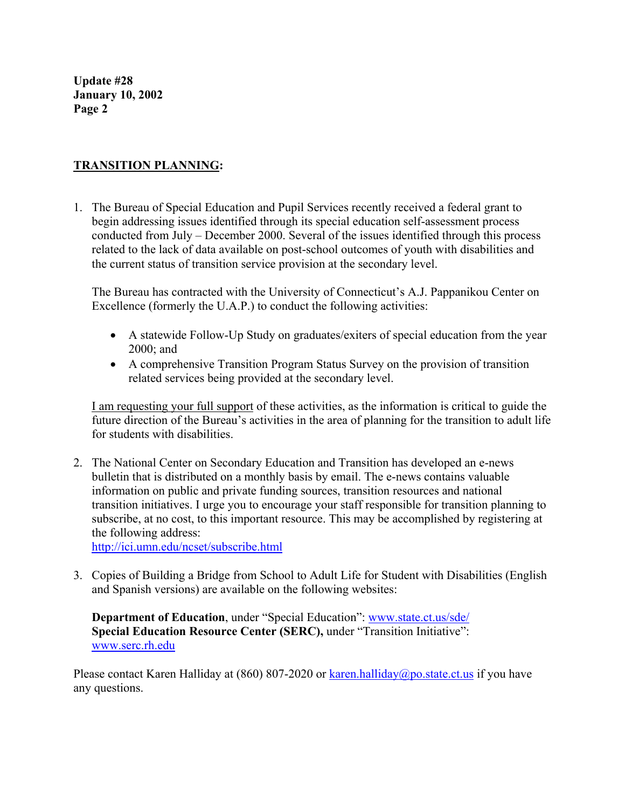# **TRANSITION PLANNING:**

1. The Bureau of Special Education and Pupil Services recently received a federal grant to begin addressing issues identified through its special education self-assessment process conducted from July – December 2000. Several of the issues identified through this process related to the lack of data available on post-school outcomes of youth with disabilities and the current status of transition service provision at the secondary level.

The Bureau has contracted with the University of Connecticut's A.J. Pappanikou Center on Excellence (formerly the U.A.P.) to conduct the following activities:

- A statewide Follow-Up Study on graduates/exiters of special education from the year 2000; and
- A comprehensive Transition Program Status Survey on the provision of transition related services being provided at the secondary level.

I am requesting your full support of these activities, as the information is critical to guide the future direction of the Bureau's activities in the area of planning for the transition to adult life for students with disabilities.

2. The National Center on Secondary Education and Transition has developed an e-news bulletin that is distributed on a monthly basis by email. The e-news contains valuable information on public and private funding sources, transition resources and national transition initiatives. I urge you to encourage your staff responsible for transition planning to subscribe, at no cost, to this important resource. This may be accomplished by registering at the following address:

http://ici.umn.edu/ncset/subscribe.html

3. Copies of Building a Bridge from School to Adult Life for Student with Disabilities (English and Spanish versions) are available on the following websites:

**Department of Education**, under "Special Education": www.state.ct.us/sde/ **Special Education Resource Center (SERC), under "Transition Initiative":** www.serc.rh.edu

Please contact Karen Halliday at (860) 807-2020 or  $\frac{\text{karen.halliday}(\partial \rho)$  state.ct.us if you have any questions.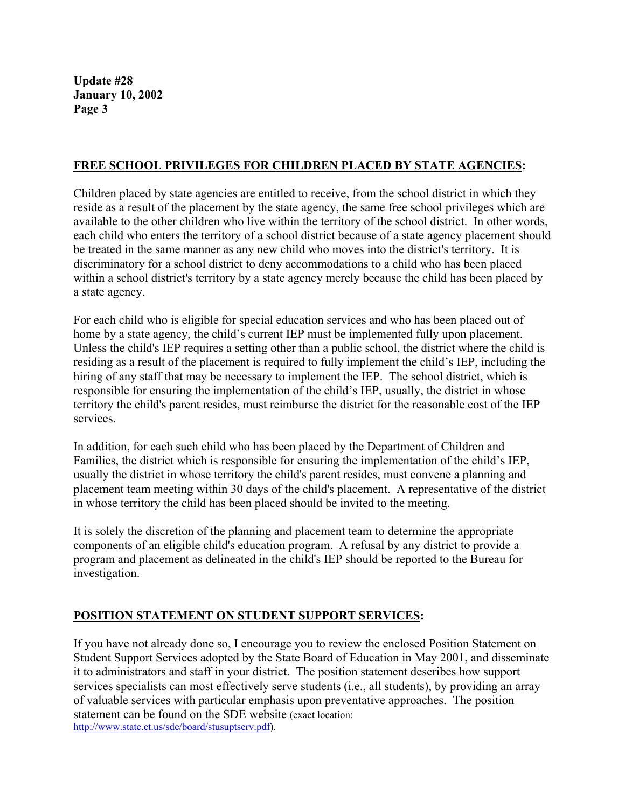## **FREE SCHOOL PRIVILEGES FOR CHILDREN PLACED BY STATE AGENCIES:**

Children placed by state agencies are entitled to receive, from the school district in which they reside as a result of the placement by the state agency, the same free school privileges which are available to the other children who live within the territory of the school district. In other words, each child who enters the territory of a school district because of a state agency placement should be treated in the same manner as any new child who moves into the district's territory. It is discriminatory for a school district to deny accommodations to a child who has been placed within a school district's territory by a state agency merely because the child has been placed by a state agency.

For each child who is eligible for special education services and who has been placed out of home by a state agency, the child's current IEP must be implemented fully upon placement. Unless the child's IEP requires a setting other than a public school, the district where the child is residing as a result of the placement is required to fully implement the child's IEP, including the hiring of any staff that may be necessary to implement the IEP. The school district, which is responsible for ensuring the implementation of the child's IEP, usually, the district in whose territory the child's parent resides, must reimburse the district for the reasonable cost of the IEP services.

In addition, for each such child who has been placed by the Department of Children and Families, the district which is responsible for ensuring the implementation of the child's IEP, usually the district in whose territory the child's parent resides, must convene a planning and placement team meeting within 30 days of the child's placement. A representative of the district in whose territory the child has been placed should be invited to the meeting.

It is solely the discretion of the planning and placement team to determine the appropriate components of an eligible child's education program. A refusal by any district to provide a program and placement as delineated in the child's IEP should be reported to the Bureau for investigation.

# **POSITION STATEMENT ON STUDENT SUPPORT SERVICES:**

If you have not already done so, I encourage you to review the enclosed Position Statement on Student Support Services adopted by the State Board of Education in May 2001, and disseminate it to administrators and staff in your district. The position statement describes how support services specialists can most effectively serve students (i.e., all students), by providing an array of valuable services with particular emphasis upon preventative approaches. The position statement can be found on the SDE website (exact location: http://www.state.ct.us/sde/board/stusuptserv.pdf).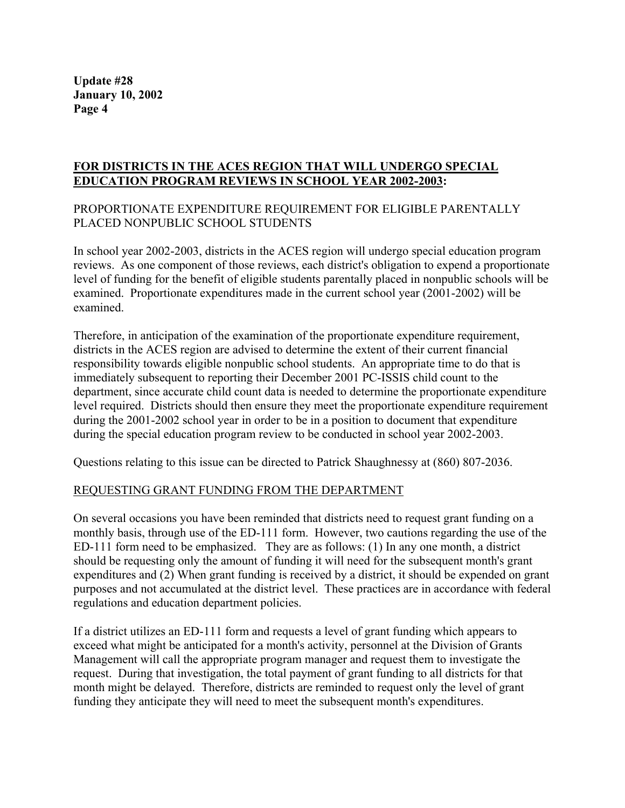#### **FOR DISTRICTS IN THE ACES REGION THAT WILL UNDERGO SPECIAL EDUCATION PROGRAM REVIEWS IN SCHOOL YEAR 2002-2003:**

# PROPORTIONATE EXPENDITURE REQUIREMENT FOR ELIGIBLE PARENTALLY PLACED NONPUBLIC SCHOOL STUDENTS

In school year 2002-2003, districts in the ACES region will undergo special education program reviews. As one component of those reviews, each district's obligation to expend a proportionate level of funding for the benefit of eligible students parentally placed in nonpublic schools will be examined. Proportionate expenditures made in the current school year (2001-2002) will be examined.

Therefore, in anticipation of the examination of the proportionate expenditure requirement, districts in the ACES region are advised to determine the extent of their current financial responsibility towards eligible nonpublic school students. An appropriate time to do that is immediately subsequent to reporting their December 2001 PC-ISSIS child count to the department, since accurate child count data is needed to determine the proportionate expenditure level required. Districts should then ensure they meet the proportionate expenditure requirement during the 2001-2002 school year in order to be in a position to document that expenditure during the special education program review to be conducted in school year 2002-2003.

Questions relating to this issue can be directed to Patrick Shaughnessy at (860) 807-2036.

## REQUESTING GRANT FUNDING FROM THE DEPARTMENT

On several occasions you have been reminded that districts need to request grant funding on a monthly basis, through use of the ED-111 form. However, two cautions regarding the use of the ED-111 form need to be emphasized. They are as follows: (1) In any one month, a district should be requesting only the amount of funding it will need for the subsequent month's grant expenditures and (2) When grant funding is received by a district, it should be expended on grant purposes and not accumulated at the district level. These practices are in accordance with federal regulations and education department policies.

If a district utilizes an ED-111 form and requests a level of grant funding which appears to exceed what might be anticipated for a month's activity, personnel at the Division of Grants Management will call the appropriate program manager and request them to investigate the request. During that investigation, the total payment of grant funding to all districts for that month might be delayed. Therefore, districts are reminded to request only the level of grant funding they anticipate they will need to meet the subsequent month's expenditures.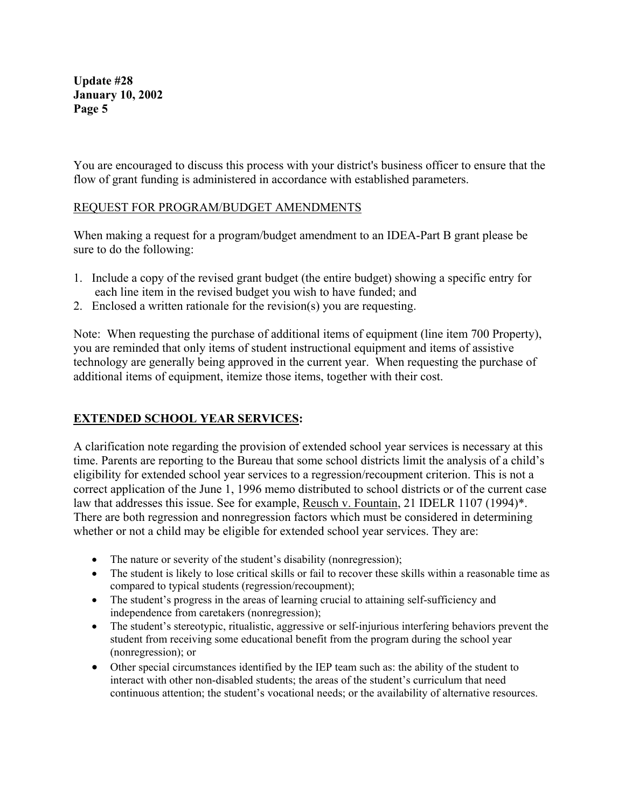You are encouraged to discuss this process with your district's business officer to ensure that the flow of grant funding is administered in accordance with established parameters.

## REQUEST FOR PROGRAM/BUDGET AMENDMENTS

When making a request for a program/budget amendment to an IDEA-Part B grant please be sure to do the following:

- 1. Include a copy of the revised grant budget (the entire budget) showing a specific entry for each line item in the revised budget you wish to have funded; and
- 2. Enclosed a written rationale for the revision(s) you are requesting.

Note: When requesting the purchase of additional items of equipment (line item 700 Property), you are reminded that only items of student instructional equipment and items of assistive technology are generally being approved in the current year. When requesting the purchase of additional items of equipment, itemize those items, together with their cost.

# **EXTENDED SCHOOL YEAR SERVICES:**

A clarification note regarding the provision of extended school year services is necessary at this time. Parents are reporting to the Bureau that some school districts limit the analysis of a child's eligibility for extended school year services to a regression/recoupment criterion. This is not a correct application of the June 1, 1996 memo distributed to school districts or of the current case law that addresses this issue. See for example, Reusch v. Fountain, 21 IDELR 1107 (1994)\*. There are both regression and nonregression factors which must be considered in determining whether or not a child may be eligible for extended school year services. They are:

- The nature or severity of the student's disability (nonregression);
- The student is likely to lose critical skills or fail to recover these skills within a reasonable time as compared to typical students (regression/recoupment);
- The student's progress in the areas of learning crucial to attaining self-sufficiency and independence from caretakers (nonregression);
- The student's stereotypic, ritualistic, aggressive or self-injurious interfering behaviors prevent the student from receiving some educational benefit from the program during the school year (nonregression); or
- Other special circumstances identified by the IEP team such as: the ability of the student to interact with other non-disabled students; the areas of the student's curriculum that need continuous attention; the student's vocational needs; or the availability of alternative resources.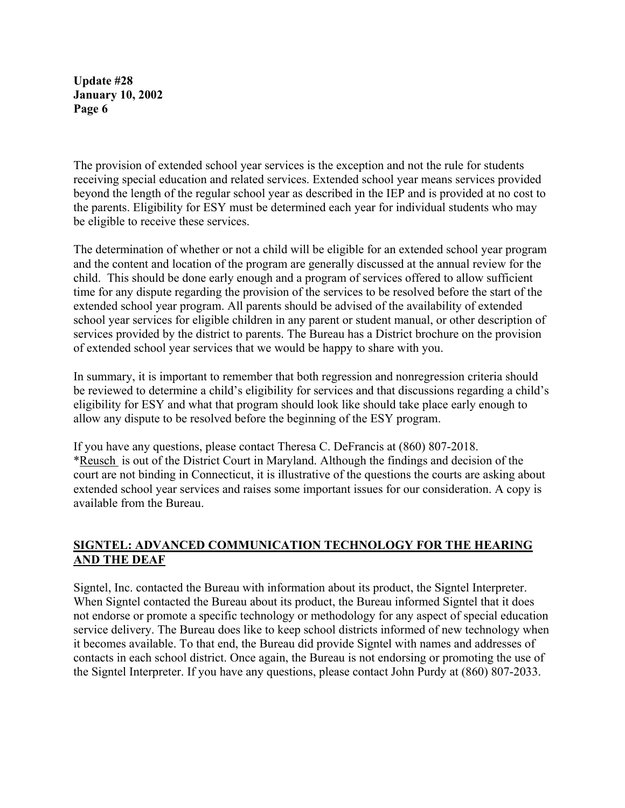The provision of extended school year services is the exception and not the rule for students receiving special education and related services. Extended school year means services provided beyond the length of the regular school year as described in the IEP and is provided at no cost to the parents. Eligibility for ESY must be determined each year for individual students who may be eligible to receive these services.

The determination of whether or not a child will be eligible for an extended school year program and the content and location of the program are generally discussed at the annual review for the child. This should be done early enough and a program of services offered to allow sufficient time for any dispute regarding the provision of the services to be resolved before the start of the extended school year program. All parents should be advised of the availability of extended school year services for eligible children in any parent or student manual, or other description of services provided by the district to parents. The Bureau has a District brochure on the provision of extended school year services that we would be happy to share with you.

In summary, it is important to remember that both regression and nonregression criteria should be reviewed to determine a child's eligibility for services and that discussions regarding a child's eligibility for ESY and what that program should look like should take place early enough to allow any dispute to be resolved before the beginning of the ESY program.

If you have any questions, please contact Theresa C. DeFrancis at (860) 807-2018. \*Reusch is out of the District Court in Maryland. Although the findings and decision of the court are not binding in Connecticut, it is illustrative of the questions the courts are asking about extended school year services and raises some important issues for our consideration. A copy is available from the Bureau.

# **SIGNTEL: ADVANCED COMMUNICATION TECHNOLOGY FOR THE HEARING AND THE DEAF**

Signtel, Inc. contacted the Bureau with information about its product, the Signtel Interpreter. When Signtel contacted the Bureau about its product, the Bureau informed Signtel that it does not endorse or promote a specific technology or methodology for any aspect of special education service delivery. The Bureau does like to keep school districts informed of new technology when it becomes available. To that end, the Bureau did provide Signtel with names and addresses of contacts in each school district. Once again, the Bureau is not endorsing or promoting the use of the Signtel Interpreter. If you have any questions, please contact John Purdy at (860) 807-2033.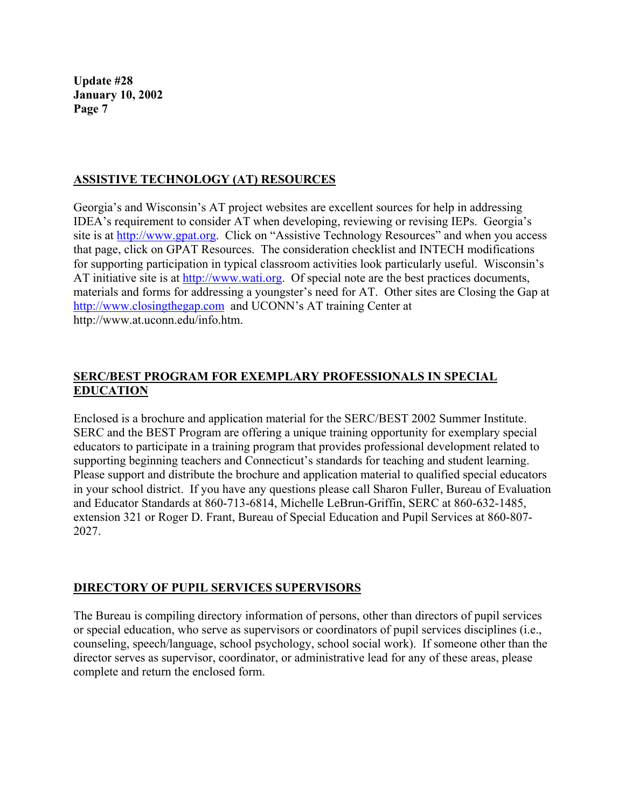## **ASSISTIVE TECHNOLOGY (AT) RESOURCES**

Georgia's and Wisconsin's AT project websites are excellent sources for help in addressing IDEA's requirement to consider AT when developing, reviewing or revising IEPs. Georgia's site is at http://www.gpat.org. Click on "Assistive Technology Resources" and when you access that page, click on GPAT Resources. The consideration checklist and INTECH modifications for supporting participation in typical classroom activities look particularly useful. Wisconsin's AT initiative site is at http://www.wati.org. Of special note are the best practices documents, materials and forms for addressing a youngster's need for AT. Other sites are Closing the Gap at http://www.closingthegap.com and UCONN's AT training Center at http://www.at.uconn.edu/info.htm.

## **SERC/BEST PROGRAM FOR EXEMPLARY PROFESSIONALS IN SPECIAL EDUCATION**

Enclosed is a brochure and application material for the SERC/BEST 2002 Summer Institute. SERC and the BEST Program are offering a unique training opportunity for exemplary special educators to participate in a training program that provides professional development related to supporting beginning teachers and Connecticut's standards for teaching and student learning. Please support and distribute the brochure and application material to qualified special educators in your school district. If you have any questions please call Sharon Fuller, Bureau of Evaluation and Educator Standards at 860-713-6814, Michelle LeBrun-Griffin, SERC at 860-632-1485, extension 321 or Roger D. Frant, Bureau of Special Education and Pupil Services at 860-807- 2027.

## **DIRECTORY OF PUPIL SERVICES SUPERVISORS**

The Bureau is compiling directory information of persons, other than directors of pupil services or special education, who serve as supervisors or coordinators of pupil services disciplines (i.e., counseling, speech/language, school psychology, school social work). If someone other than the director serves as supervisor, coordinator, or administrative lead for any of these areas, please complete and return the enclosed form.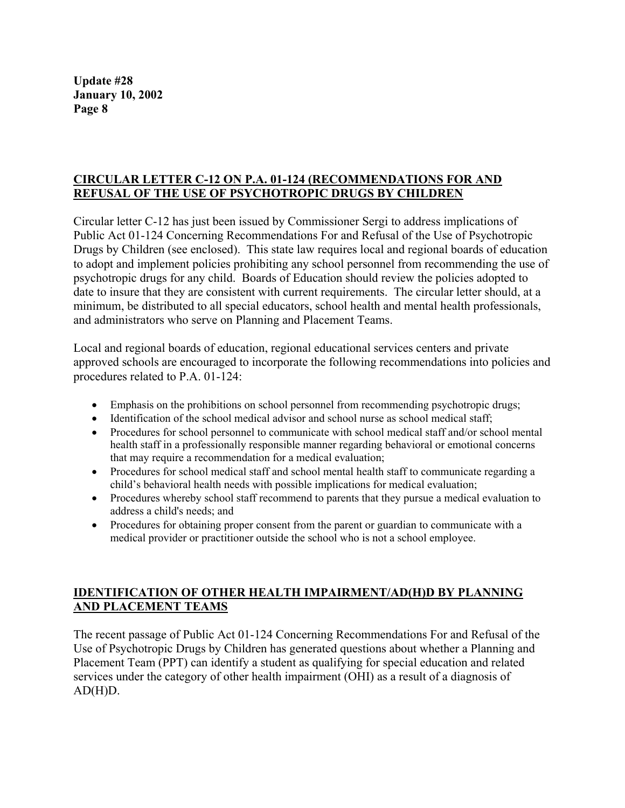## **CIRCULAR LETTER C-12 ON P.A. 01-124 (RECOMMENDATIONS FOR AND REFUSAL OF THE USE OF PSYCHOTROPIC DRUGS BY CHILDREN**

Circular letter C-12 has just been issued by Commissioner Sergi to address implications of Public Act 01-124 Concerning Recommendations For and Refusal of the Use of Psychotropic Drugs by Children (see enclosed). This state law requires local and regional boards of education to adopt and implement policies prohibiting any school personnel from recommending the use of psychotropic drugs for any child. Boards of Education should review the policies adopted to date to insure that they are consistent with current requirements. The circular letter should, at a minimum, be distributed to all special educators, school health and mental health professionals, and administrators who serve on Planning and Placement Teams.

Local and regional boards of education, regional educational services centers and private approved schools are encouraged to incorporate the following recommendations into policies and procedures related to P.A. 01-124:

- Emphasis on the prohibitions on school personnel from recommending psychotropic drugs;
- Identification of the school medical advisor and school nurse as school medical staff;
- Procedures for school personnel to communicate with school medical staff and/or school mental health staff in a professionally responsible manner regarding behavioral or emotional concerns that may require a recommendation for a medical evaluation;
- Procedures for school medical staff and school mental health staff to communicate regarding a child's behavioral health needs with possible implications for medical evaluation;
- Procedures whereby school staff recommend to parents that they pursue a medical evaluation to address a child's needs; and
- Procedures for obtaining proper consent from the parent or guardian to communicate with a medical provider or practitioner outside the school who is not a school employee.

## **IDENTIFICATION OF OTHER HEALTH IMPAIRMENT/AD(H)D BY PLANNING AND PLACEMENT TEAMS**

The recent passage of Public Act 01-124 Concerning Recommendations For and Refusal of the Use of Psychotropic Drugs by Children has generated questions about whether a Planning and Placement Team (PPT) can identify a student as qualifying for special education and related services under the category of other health impairment (OHI) as a result of a diagnosis of  $AD(H)D$ .